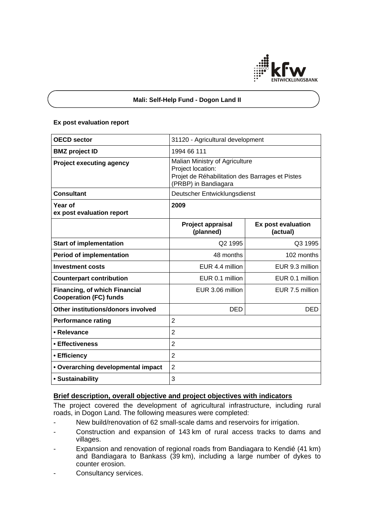

## **Mali: Self-Help Fund - Dogon Land II**

#### **Ex post evaluation report**

| <b>OECD sector</b>                                                    | 31120 - Agricultural development                                                                                               |                                |
|-----------------------------------------------------------------------|--------------------------------------------------------------------------------------------------------------------------------|--------------------------------|
| <b>BMZ</b> project ID                                                 | 1994 66 111                                                                                                                    |                                |
| <b>Project executing agency</b>                                       | Malian Ministry of Agriculture<br>Project location:<br>Projet de Réhabilitation des Barrages et Pistes<br>(PRBP) in Bandiagara |                                |
| <b>Consultant</b>                                                     | Deutscher Entwicklungsdienst                                                                                                   |                                |
| Year of<br>ex post evaluation report                                  | 2009                                                                                                                           |                                |
|                                                                       | Project appraisal<br>(planned)                                                                                                 | Ex post evaluation<br>(actual) |
| <b>Start of implementation</b>                                        | Q2 1995                                                                                                                        | Q3 1995                        |
| <b>Period of implementation</b>                                       | 48 months                                                                                                                      | 102 months                     |
| <b>Investment costs</b>                                               | EUR 4.4 million                                                                                                                | EUR 9.3 million                |
| <b>Counterpart contribution</b>                                       | EUR 0.1 million                                                                                                                | EUR 0.1 million                |
| <b>Financing, of which Financial</b><br><b>Cooperation (FC) funds</b> | EUR 3.06 million                                                                                                               | EUR 7.5 million                |
| Other institutions/donors involved                                    | <b>DED</b>                                                                                                                     | DED                            |
| <b>Performance rating</b>                                             | $\overline{2}$                                                                                                                 |                                |
| • Relevance                                                           | $\overline{2}$                                                                                                                 |                                |
| • Effectiveness                                                       | $\overline{2}$                                                                                                                 |                                |
| • Efficiency                                                          | $\overline{2}$                                                                                                                 |                                |
| • Overarching developmental impact                                    | $\overline{2}$                                                                                                                 |                                |
| • Sustainability                                                      | 3                                                                                                                              |                                |

# **Brief description, overall objective and project objectives with indicators**

The project covered the development of agricultural infrastructure, including rural roads, in Dogon Land. The following measures were completed:

- New build/renovation of 62 small-scale dams and reservoirs for irrigation.
- Construction and expansion of 143 km of rural access tracks to dams and villages.
- Expansion and renovation of regional roads from Bandiagara to Kendié (41 km) and Bandiagara to Bankass (39 km), including a large number of dykes to counter erosion.
- Consultancy services.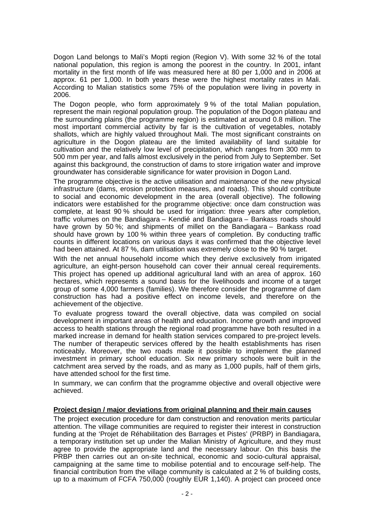Dogon Land belongs to Mali's Mopti region (Region V). With some 32 % of the total national population, this region is among the poorest in the country. In 2001, infant mortality in the first month of life was measured here at 80 per 1,000 and in 2006 at approx. 61 per 1,000. In both years these were the highest mortality rates in Mali. According to Malian statistics some 75% of the population were living in poverty in 2006.

The Dogon people, who form approximately 9 % of the total Malian population, represent the main regional population group. The population of the Dogon plateau and the surrounding plains (the programme region) is estimated at around 0.8 million. The most important commercial activity by far is the cultivation of vegetables, notably shallots, which are highly valued throughout Mali. The most significant constraints on agriculture in the Dogon plateau are the limited availability of land suitable for cultivation and the relatively low level of precipitation, which ranges from 300 mm to 500 mm per year, and falls almost exclusively in the period from July to September. Set against this background, the construction of dams to store irrigation water and improve groundwater has considerable significance for water provision in Dogon Land.

The programme objective is the active utilisation and maintenance of the new physical infrastructure (dams, erosion protection measures, and roads). This should contribute to social and economic development in the area (overall objective). The following indicators were established for the programme objective: once dam construction was complete, at least 90 % should be used for irrigation: three years after completion, traffic volumes on the Bandiagara – Kendié and Bandiagara – Bankass roads should have grown by 50 %; and shipments of millet on the Bandiagara – Bankass road should have grown by 100 % within three years of completion. By conducting traffic counts in different locations on various days it was confirmed that the objective level had been attained. At 87 %, dam utilisation was extremely close to the 90 % target.

With the net annual household income which they derive exclusively from irrigated agriculture, an eight-person household can cover their annual cereal requirements. This project has opened up additional agricultural land with an area of approx. 160 hectares, which represents a sound basis for the livelihoods and income of a target group of some 4,000 farmers (families). We therefore consider the programme of dam construction has had a positive effect on income levels, and therefore on the achievement of the objective.

To evaluate progress toward the overall objective, data was compiled on social development in important areas of health and education. Income growth and improved access to health stations through the regional road programme have both resulted in a marked increase in demand for health station services compared to pre-project levels. The number of therapeutic services offered by the health establishments has risen noticeably. Moreover, the two roads made it possible to implement the planned investment in primary school education. Six new primary schools were built in the catchment area served by the roads, and as many as 1,000 pupils, half of them girls, have attended school for the first time.

In summary, we can confirm that the programme objective and overall objective were achieved.

# **Project design / major deviations from original planning and their main causes**

The project execution procedure for dam construction and renovation merits particular attention. The village communities are required to register their interest in construction funding at the 'Projet de Réhabilitation des Barrages et Pistes' (PRBP) in Bandiagara, a temporary institution set up under the Malian Ministry of Agriculture, and they must agree to provide the appropriate land and the necessary labour. On this basis the PRBP then carries out an on-site technical, economic and socio-cultural appraisal, campaigning at the same time to mobilise potential and to encourage self-help. The financial contribution from the village community is calculated at 2 % of building costs, up to a maximum of FCFA 750,000 (roughly EUR 1,140). A project can proceed once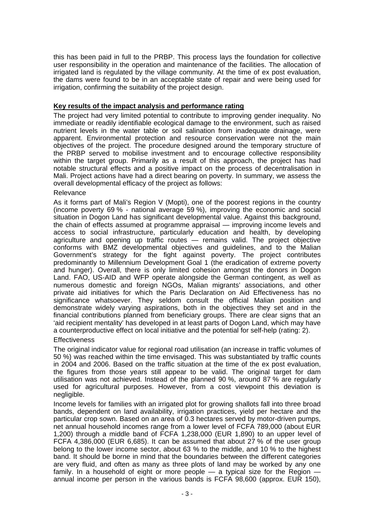this has been paid in full to the PRBP. This process lays the foundation for collective user responsibility in the operation and maintenance of the facilities. The allocation of irrigated land is regulated by the village community. At the time of ex post evaluation, the dams were found to be in an acceptable state of repair and were being used for irrigation, confirming the suitability of the project design.

### **Key results of the impact analysis and performance rating**

The project had very limited potential to contribute to improving gender inequality. No immediate or readily identifiable ecological damage to the environment, such as raised nutrient levels in the water table or soil salination from inadequate drainage, were apparent. Environmental protection and resource conservation were not the main objectives of the project. The procedure designed around the temporary structure of the PRBP served to mobilise investment and to encourage collective responsibility within the target group. Primarily as a result of this approach, the project has had notable structural effects and a positive impact on the process of decentralisation in Mali. Project actions have had a direct bearing on poverty. In summary, we assess the overall developmental efficacy of the project as follows:

## Relevance

As it forms part of Mali's Region V (Mopti), one of the poorest regions in the country (income poverty 69 % - national average 59 %), improving the economic and social situation in Dogon Land has significant developmental value. Against this background, the chain of effects assumed at programme appraisal — improving income levels and access to social infrastructure, particularly education and health, by developing agriculture and opening up traffic routes — remains valid. The project objective conforms with BMZ developmental objectives and guidelines, and to the Malian Government's strategy for the fight against poverty. The project contributes predominantly to Millennium Development Goal 1 (the eradication of extreme poverty and hunger). Overall, there is only limited cohesion amongst the donors in Dogon Land. FAO, US-AID and WFP operate alongside the German contingent, as well as numerous domestic and foreign NGOs, Malian migrants' associations, and other private aid initiatives for which the Paris Declaration on Aid Effectiveness has no significance whatsoever. They seldom consult the official Malian position and demonstrate widely varying aspirations, both in the objectives they set and in the financial contributions planned from beneficiary groups. There are clear signs that an 'aid recipient mentality' has developed in at least parts of Dogon Land, which may have a counterproductive effect on local initiative and the potential for self-help (rating: 2).

# **Effectiveness**

The original indicator value for regional road utilisation (an increase in traffic volumes of 50 %) was reached within the time envisaged. This was substantiated by traffic counts in 2004 and 2006. Based on the traffic situation at the time of the ex post evaluation, the figures from those years still appear to be valid. The original target for dam utilisation was not achieved. Instead of the planned 90 %, around 87 % are regularly used for agricultural purposes. However, from a cost viewpoint this deviation is negligible.

Income levels for families with an irrigated plot for growing shallots fall into three broad bands, dependent on land availability, irrigation practices, yield per hectare and the particular crop sown. Based on an area of 0.3 hectares served by motor-driven pumps, net annual household incomes range from a lower level of FCFA 789,000 (about EUR 1,200) through a middle band of FCFA 1,238,000 (EUR 1,890) to an upper level of FCFA 4,386,000 (EUR 6,685). It can be assumed that about 27 % of the user group belong to the lower income sector, about 63 % to the middle, and 10 % to the highest band. It should be borne in mind that the boundaries between the different categories are very fluid, and often as many as three plots of land may be worked by any one family. In a household of eight or more people — a typical size for the Region annual income per person in the various bands is FCFA 98,600 (approx. EUR 150),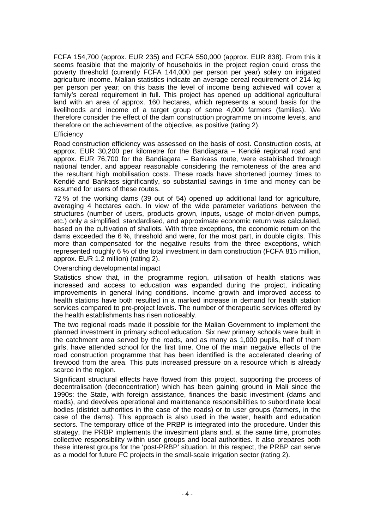FCFA 154,700 (approx. EUR 235) and FCFA 550,000 (approx. EUR 838). From this it seems feasible that the majority of households in the project region could cross the poverty threshold (currently FCFA 144,000 per person per year) solely on irrigated agriculture income. Malian statistics indicate an average cereal requirement of 214 kg per person per year; on this basis the level of income being achieved will cover a family's cereal requirement in full. This project has opened up additional agricultural land with an area of approx. 160 hectares, which represents a sound basis for the livelihoods and income of a target group of some 4,000 farmers (families). We therefore consider the effect of the dam construction programme on income levels, and therefore on the achievement of the objective, as positive (rating 2).

### **Efficiency**

Road construction efficiency was assessed on the basis of cost. Construction costs, at approx. EUR 30,200 per kilometre for the Bandiagara – Kendié regional road and approx. EUR 76,700 for the Bandiagara – Bankass route, were established through national tender, and appear reasonable considering the remoteness of the area and the resultant high mobilisation costs. These roads have shortened journey times to Kendié and Bankass significantly, so substantial savings in time and money can be assumed for users of these routes.

72 % of the working dams (39 out of 54) opened up additional land for agriculture, averaging 4 hectares each. In view of the wide parameter variations between the structures (number of users, products grown, inputs, usage of motor-driven pumps, etc.) only a simplified, standardised, and approximate economic return was calculated, based on the cultivation of shallots. With three exceptions, the economic return on the dams exceeded the 6 %, threshold and were, for the most part, in double digits. This more than compensated for the negative results from the three exceptions, which represented roughly 6 % of the total investment in dam construction (FCFA 815 million, approx. EUR 1.2 million) (rating 2).

### Overarching developmental impact

Statistics show that, in the programme region, utilisation of health stations was increased and access to education was expanded during the project, indicating improvements in general living conditions. Income growth and improved access to health stations have both resulted in a marked increase in demand for health station services compared to pre-project levels. The number of therapeutic services offered by the health establishments has risen noticeably.

The two regional roads made it possible for the Malian Government to implement the planned investment in primary school education. Six new primary schools were built in the catchment area served by the roads, and as many as 1,000 pupils, half of them girls, have attended school for the first time. One of the main negative effects of the road construction programme that has been identified is the accelerated clearing of firewood from the area. This puts increased pressure on a resource which is already scarce in the region.

Significant structural effects have flowed from this project, supporting the process of decentralisation (deconcentration) which has been gaining ground in Mali since the 1990s: the State, with foreign assistance, finances the basic investment (dams and roads), and devolves operational and maintenance responsibilities to subordinate local bodies (district authorities in the case of the roads) or to user groups (farmers, in the case of the dams). This approach is also used in the water, health and education sectors. The temporary office of the PRBP is integrated into the procedure. Under this strategy, the PRBP implements the investment plans and, at the same time, promotes collective responsibility within user groups and local authorities. It also prepares both these interest groups for the 'post-PRBP' situation. In this respect, the PRBP can serve as a model for future FC projects in the small-scale irrigation sector (rating 2).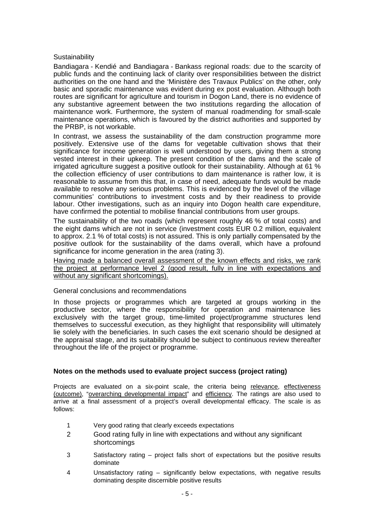## **Sustainability**

Bandiagara - Kendié and Bandiagara - Bankass regional roads: due to the scarcity of public funds and the continuing lack of clarity over responsibilities between the district authorities on the one hand and the 'Ministère des Travaux Publics' on the other, only basic and sporadic maintenance was evident during ex post evaluation. Although both routes are significant for agriculture and tourism in Dogon Land, there is no evidence of any substantive agreement between the two institutions regarding the allocation of maintenance work. Furthermore, the system of manual roadmending for small-scale maintenance operations, which is favoured by the district authorities and supported by the PRBP, is not workable.

In contrast, we assess the sustainability of the dam construction programme more positively. Extensive use of the dams for vegetable cultivation shows that their significance for income generation is well understood by users, giving them a strong vested interest in their upkeep. The present condition of the dams and the scale of irrigated agriculture suggest a positive outlook for their sustainability. Although at 61 % the collection efficiency of user contributions to dam maintenance is rather low, it is reasonable to assume from this that, in case of need, adequate funds would be made available to resolve any serious problems. This is evidenced by the level of the village communities' contributions to investment costs and by their readiness to provide labour. Other investigations, such as an inquiry into Dogon health care expenditure, have confirmed the potential to mobilise financial contributions from user groups.

The sustainability of the two roads (which represent roughly 46 % of total costs) and the eight dams which are not in service (investment costs EUR 0.2 million, equivalent to approx. 2.1 % of total costs) is not assured. This is only partially compensated by the positive outlook for the sustainability of the dams overall, which have a profound significance for income generation in the area (rating 3).

Having made a balanced overall assessment of the known effects and risks, we rank the project at performance level 2 (good result, fully in line with expectations and without any significant shortcomings).

### General conclusions and recommendations

In those projects or programmes which are targeted at groups working in the productive sector, where the responsibility for operation and maintenance lies exclusively with the target group, time-limited project/programme structures lend themselves to successful execution, as they highlight that responsibility will ultimately lie solely with the beneficiaries. In such cases the exit scenario should be designed at the appraisal stage, and its suitability should be subject to continuous review thereafter throughout the life of the project or programme.

# **Notes on the methods used to evaluate project success (project rating)**

Projects are evaluated on a six-point scale, the criteria being relevance, effectiveness (outcome), "overarching developmental impact" and efficiency. The ratings are also used to arrive at a final assessment of a project's overall developmental efficacy. The scale is as follows:

- 1 Very good rating that clearly exceeds expectations
- 2 Good rating fully in line with expectations and without any significant shortcomings
- 3 Satisfactory rating project falls short of expectations but the positive results dominate
- 4 Unsatisfactory rating significantly below expectations, with negative results dominating despite discernible positive results